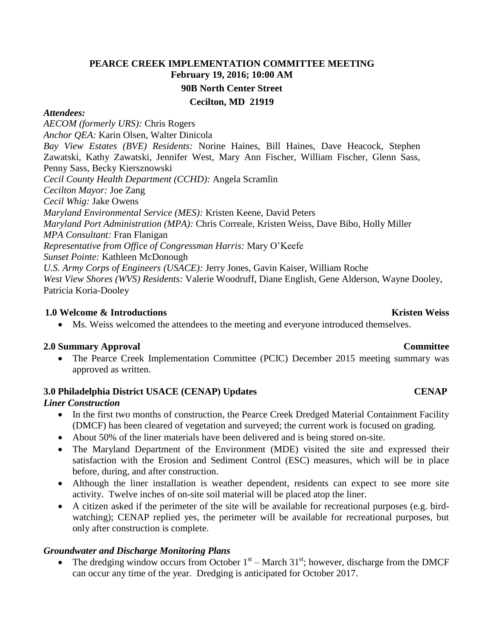# **PEARCE CREEK IMPLEMENTATION COMMITTEE MEETING February 19, 2016; 10:00 AM 90B North Center Street Cecilton, MD 21919**

#### *Attendees:*

*AECOM (formerly URS):* Chris Rogers *Anchor QEA:* Karin Olsen, Walter Dinicola *Bay View Estates (BVE) Residents:* Norine Haines, Bill Haines, Dave Heacock, Stephen Zawatski, Kathy Zawatski, Jennifer West, Mary Ann Fischer, William Fischer, Glenn Sass, Penny Sass, Becky Kiersznowski *Cecil County Health Department (CCHD):* Angela Scramlin *Cecilton Mayor:* Joe Zang *Cecil Whig:* Jake Owens *Maryland Environmental Service (MES):* Kristen Keene, David Peters *Maryland Port Administration (MPA):* Chris Correale, Kristen Weiss, Dave Bibo, Holly Miller *MPA Consultant:* Fran Flanigan *Representative from Office of Congressman Harris:* Mary O'Keefe *Sunset Pointe:* Kathleen McDonough *U.S. Army Corps of Engineers (USACE):* Jerry Jones, Gavin Kaiser, William Roche *West View Shores (WVS) Residents:* Valerie Woodruff, Diane English, Gene Alderson, Wayne Dooley, Patricia Koria-Dooley

### **1.0** Welcome & Introductions **Kristen Weiss Kristen Weiss Kristen Weiss**

Ms. Weiss welcomed the attendees to the meeting and everyone introduced themselves.

### **2.0 Summary Approval Committee**

• The Pearce Creek Implementation Committee (PCIC) December 2015 meeting summary was approved as written.

### **3.0** Philadelphia District USACE (CENAP) Updates CENAP

### *Liner Construction*

- In the first two months of construction, the Pearce Creek Dredged Material Containment Facility (DMCF) has been cleared of vegetation and surveyed; the current work is focused on grading.
- About 50% of the liner materials have been delivered and is being stored on-site.
- The Maryland Department of the Environment (MDE) visited the site and expressed their satisfaction with the Erosion and Sediment Control (ESC) measures, which will be in place before, during, and after construction.
- Although the liner installation is weather dependent, residents can expect to see more site activity. Twelve inches of on-site soil material will be placed atop the liner.
- A citizen asked if the perimeter of the site will be available for recreational purposes (e.g. birdwatching); CENAP replied yes, the perimeter will be available for recreational purposes, but only after construction is complete.

### *Groundwater and Discharge Monitoring Plans*

• The dredging window occurs from October  $1<sup>st</sup>$  – March 31<sup>st</sup>; however, discharge from the DMCF can occur any time of the year. Dredging is anticipated for October 2017.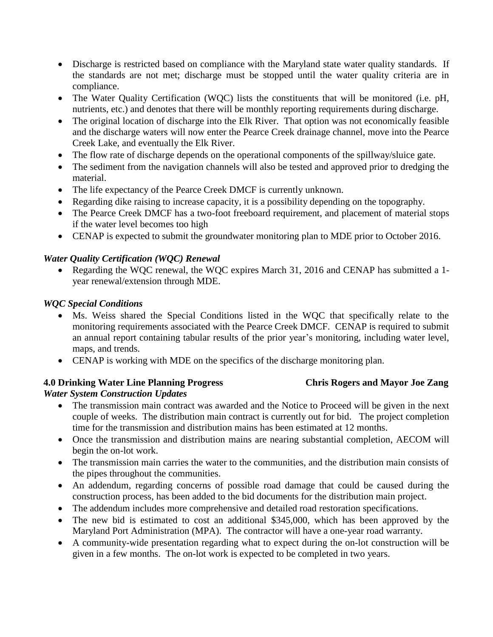- Discharge is restricted based on compliance with the Maryland state water quality standards. If the standards are not met; discharge must be stopped until the water quality criteria are in compliance.
- The Water Quality Certification (WQC) lists the constituents that will be monitored (i.e. pH, nutrients, etc.) and denotes that there will be monthly reporting requirements during discharge.
- The original location of discharge into the Elk River. That option was not economically feasible and the discharge waters will now enter the Pearce Creek drainage channel, move into the Pearce Creek Lake, and eventually the Elk River.
- The flow rate of discharge depends on the operational components of the spillway/sluice gate.
- The sediment from the navigation channels will also be tested and approved prior to dredging the material.
- The life expectancy of the Pearce Creek DMCF is currently unknown.
- Regarding dike raising to increase capacity, it is a possibility depending on the topography.
- The Pearce Creek DMCF has a two-foot freeboard requirement, and placement of material stops if the water level becomes too high
- CENAP is expected to submit the groundwater monitoring plan to MDE prior to October 2016.

## *Water Quality Certification (WQC) Renewal*

• Regarding the WQC renewal, the WQC expires March 31, 2016 and CENAP has submitted a 1year renewal/extension through MDE.

### *WQC Special Conditions*

- Ms. Weiss shared the Special Conditions listed in the WQC that specifically relate to the monitoring requirements associated with the Pearce Creek DMCF. CENAP is required to submit an annual report containing tabular results of the prior year's monitoring, including water level, maps, and trends.
- CENAP is working with MDE on the specifics of the discharge monitoring plan.

### **4.0 Drinking Water Line Planning Progress Chris Rogers and Mayor Joe Zang** *Water System Construction Updates*

- 
- The transmission main contract was awarded and the Notice to Proceed will be given in the next couple of weeks. The distribution main contract is currently out for bid. The project completion time for the transmission and distribution mains has been estimated at 12 months.
- Once the transmission and distribution mains are nearing substantial completion, AECOM will begin the on-lot work.
- The transmission main carries the water to the communities, and the distribution main consists of the pipes throughout the communities.
- An addendum, regarding concerns of possible road damage that could be caused during the construction process, has been added to the bid documents for the distribution main project.
- The addendum includes more comprehensive and detailed road restoration specifications.
- The new bid is estimated to cost an additional \$345,000, which has been approved by the Maryland Port Administration (MPA). The contractor will have a one-year road warranty.
- A community-wide presentation regarding what to expect during the on-lot construction will be given in a few months. The on-lot work is expected to be completed in two years.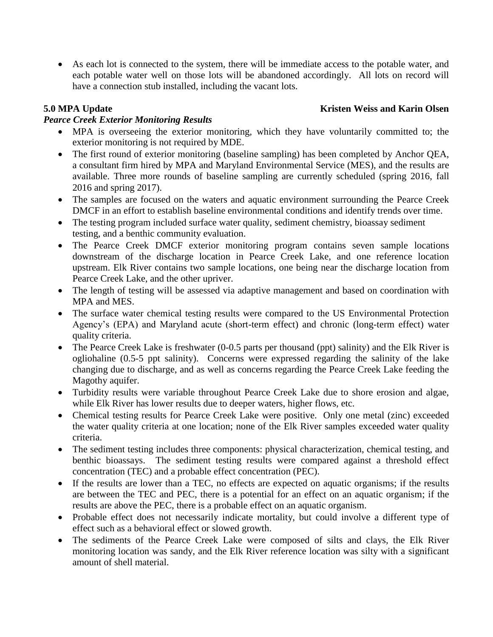As each lot is connected to the system, there will be immediate access to the potable water, and each potable water well on those lots will be abandoned accordingly. All lots on record will have a connection stub installed, including the vacant lots.

### **5.0 MPA Update** Kristen Weiss and Karin Olsen

### *Pearce Creek Exterior Monitoring Results*

- MPA is overseeing the exterior monitoring, which they have voluntarily committed to; the exterior monitoring is not required by MDE.
- The first round of exterior monitoring (baseline sampling) has been completed by Anchor QEA, a consultant firm hired by MPA and Maryland Environmental Service (MES), and the results are available. Three more rounds of baseline sampling are currently scheduled (spring 2016, fall 2016 and spring 2017).
- The samples are focused on the waters and aquatic environment surrounding the Pearce Creek DMCF in an effort to establish baseline environmental conditions and identify trends over time.
- The testing program included surface water quality, sediment chemistry, bioassay sediment testing, and a benthic community evaluation.
- The Pearce Creek DMCF exterior monitoring program contains seven sample locations downstream of the discharge location in Pearce Creek Lake, and one reference location upstream. Elk River contains two sample locations, one being near the discharge location from Pearce Creek Lake, and the other upriver.
- The length of testing will be assessed via adaptive management and based on coordination with MPA and MES.
- The surface water chemical testing results were compared to the US Environmental Protection Agency's (EPA) and Maryland acute (short-term effect) and chronic (long-term effect) water quality criteria.
- The Pearce Creek Lake is freshwater (0-0.5 parts per thousand (ppt) salinity) and the Elk River is ogliohaline (0.5-5 ppt salinity). Concerns were expressed regarding the salinity of the lake changing due to discharge, and as well as concerns regarding the Pearce Creek Lake feeding the Magothy aquifer.
- Turbidity results were variable throughout Pearce Creek Lake due to shore erosion and algae, while Elk River has lower results due to deeper waters, higher flows, etc.
- Chemical testing results for Pearce Creek Lake were positive. Only one metal (zinc) exceeded the water quality criteria at one location; none of the Elk River samples exceeded water quality criteria.
- The sediment testing includes three components: physical characterization, chemical testing, and benthic bioassays. The sediment testing results were compared against a threshold effect concentration (TEC) and a probable effect concentration (PEC).
- If the results are lower than a TEC, no effects are expected on aquatic organisms; if the results are between the TEC and PEC, there is a potential for an effect on an aquatic organism; if the results are above the PEC, there is a probable effect on an aquatic organism.
- Probable effect does not necessarily indicate mortality, but could involve a different type of effect such as a behavioral effect or slowed growth.
- The sediments of the Pearce Creek Lake were composed of silts and clays, the Elk River monitoring location was sandy, and the Elk River reference location was silty with a significant amount of shell material.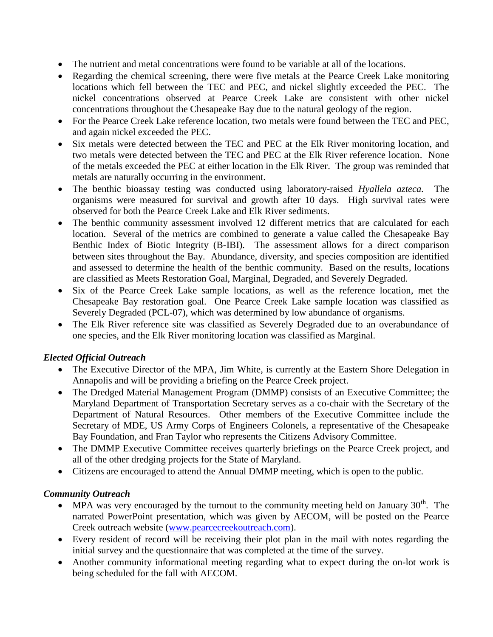- The nutrient and metal concentrations were found to be variable at all of the locations.
- Regarding the chemical screening, there were five metals at the Pearce Creek Lake monitoring locations which fell between the TEC and PEC, and nickel slightly exceeded the PEC. The nickel concentrations observed at Pearce Creek Lake are consistent with other nickel concentrations throughout the Chesapeake Bay due to the natural geology of the region.
- For the Pearce Creek Lake reference location, two metals were found between the TEC and PEC, and again nickel exceeded the PEC.
- Six metals were detected between the TEC and PEC at the Elk River monitoring location, and two metals were detected between the TEC and PEC at the Elk River reference location. None of the metals exceeded the PEC at either location in the Elk River. The group was reminded that metals are naturally occurring in the environment.
- The benthic bioassay testing was conducted using laboratory-raised *Hyallela azteca.* The organisms were measured for survival and growth after 10 days. High survival rates were observed for both the Pearce Creek Lake and Elk River sediments.
- The benthic community assessment involved 12 different metrics that are calculated for each location. Several of the metrics are combined to generate a value called the Chesapeake Bay Benthic Index of Biotic Integrity (B-IBI). The assessment allows for a direct comparison between sites throughout the Bay. Abundance, diversity, and species composition are identified and assessed to determine the health of the benthic community. Based on the results, locations are classified as Meets Restoration Goal, Marginal, Degraded, and Severely Degraded.
- Six of the Pearce Creek Lake sample locations, as well as the reference location, met the Chesapeake Bay restoration goal. One Pearce Creek Lake sample location was classified as Severely Degraded (PCL-07), which was determined by low abundance of organisms.
- The Elk River reference site was classified as Severely Degraded due to an overabundance of one species, and the Elk River monitoring location was classified as Marginal.

# *Elected Official Outreach*

- The Executive Director of the MPA, Jim White, is currently at the Eastern Shore Delegation in Annapolis and will be providing a briefing on the Pearce Creek project.
- The Dredged Material Management Program (DMMP) consists of an Executive Committee; the Maryland Department of Transportation Secretary serves as a co-chair with the Secretary of the Department of Natural Resources. Other members of the Executive Committee include the Secretary of MDE, US Army Corps of Engineers Colonels, a representative of the Chesapeake Bay Foundation, and Fran Taylor who represents the Citizens Advisory Committee.
- The DMMP Executive Committee receives quarterly briefings on the Pearce Creek project, and all of the other dredging projects for the State of Maryland.
- Citizens are encouraged to attend the Annual DMMP meeting, which is open to the public.

### *Community Outreach*

- MPA was very encouraged by the turnout to the community meeting held on January  $30<sup>th</sup>$ . The narrated PowerPoint presentation, which was given by AECOM, will be posted on the Pearce Creek outreach website [\(www.pearcecreekoutreach.com\)](http://www.pearcecreekoutreach.com/).
- Every resident of record will be receiving their plot plan in the mail with notes regarding the initial survey and the questionnaire that was completed at the time of the survey.
- Another community informational meeting regarding what to expect during the on-lot work is being scheduled for the fall with AECOM.